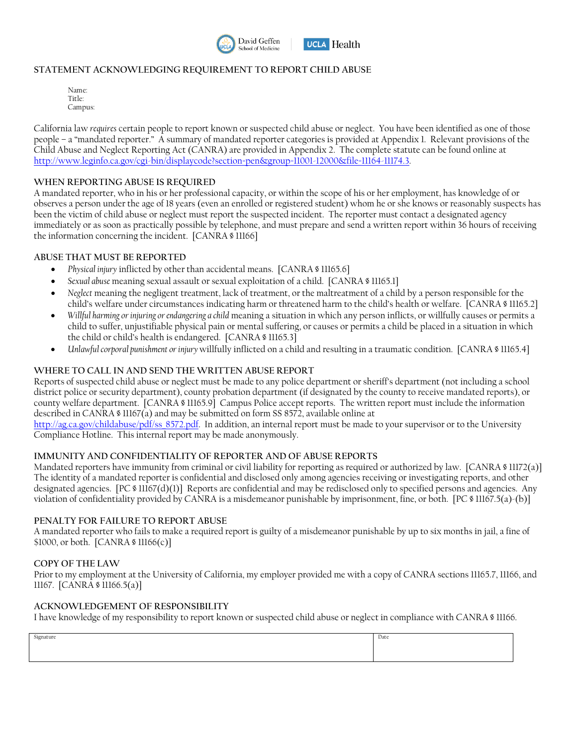

### **STATEMENT ACKNOWLEDGING REQUIREMENT TO REPORT CHILD ABUSE**

| Name:              |  |
|--------------------|--|
| Title <sup>.</sup> |  |
| Campus:            |  |

California law *requires* certain people to report known or suspected child abuse or neglect. You have been identified as one of those people – a "mandated reporter." A summary of mandated reporter categories is provided at Appendix 1. Relevant provisions of the Child Abuse and Neglect Reporting Act (CANRA) are provided in Appendix 2. The complete statute can be found online at [http://www.leginfo.ca.gov/cgi-bin/displaycode?section=pen&group=11001-12000&file=11164-11174.3.](http://www.leginfo.ca.gov/cgi-bin/displaycode?section=pen&group=11001-12000&file=11164-11174.3) 

#### **WHEN REPORTING ABUSE IS REQUIRED**

A mandated reporter, who in his or her professional capacity, or within the scope of his or her employment, has knowledge of or observes a person under the age of 18 years (even an enrolled or registered student) whom he or she knows or reasonably suspects has been the victim of child abuse or neglect must report the suspected incident. The reporter must contact a designated agency immediately or as soon as practically possible by telephone, and must prepare and send a written report within 36 hours of receiving the information concerning the incident. [CANRA § 11166]

#### **ABUSE THAT MUST BE REPORTED**

- *Physical injury* inflicted by other than accidental means. [CANRA § 11165.6]
- *Sexual abuse* meaning sexual assault or sexual exploitation of a child. [CANRA § 11165.1]
- *Neglect* meaning the negligent treatment, lack of treatment, or the maltreatment of a child by a person responsible for the child's welfare under circumstances indicating harm or threatened harm to the child's health or welfare. [CANRA § 11165.2]
- *Willful harming or injuring or endangering a child* meaning a situation in which any person inflicts, or willfully causes or permits a child to suffer, unjustifiable physical pain or mental suffering, or causes or permits a child be placed in a situation in which the child or child's health is endangered. [CANRA § 11165.3]
- *Unlawful corporal punishment or injury* willfully inflicted on a child and resulting in a traumatic condition. [CANRA § 11165.4]

#### **WHERE TO CALL IN AND SEND THE WRITTEN ABUSE REPORT**

Reports of suspected child abuse or neglect must be made to any police department or sheriff's department (not including a school district police or security department), county probation department (if designated by the county to receive mandated reports), or county welfare department. [CANRA § 11165.9] Campus Police accept reports. The written report must include the information described in CANRA § 11167(a) and may be submitted on form SS 8572, available online at

[http://ag.ca.gov/childabuse/pdf/ss\\_8572.pdf.](http://ag.ca.gov/childabuse/pdf/ss_8572.pdf) In addition, an internal report must be made to your supervisor or to the University Compliance Hotline. This internal report may be made anonymously.

#### **IMMUNITY AND CONFIDENTIALITY OF REPORTER AND OF ABUSE REPORTS**

Mandated reporters have immunity from criminal or civil liability for reporting as required or authorized by law. [CANRA § 11172(a)] The identity of a mandated reporter is confidential and disclosed only among agencies receiving or investigating reports, and other designated agencies. [PC § 11167(d)(1)] Reports are confidential and may be redisclosed only to specified persons and agencies. Any violation of confidentiality provided by CANRA is a misdemeanor punishable by imprisonment, fine, or both. [PC § 11167.5(a)-(b)]

#### **PENALTY FOR FAILURE TO REPORT ABUSE**

A mandated reporter who fails to make a required report is guilty of a misdemeanor punishable by up to six months in jail, a fine of \$1000, or both. [CANRA § 11166(c)]

#### **COPY OF THE LAW**

Prior to my employment at the University of California, my employer provided me with a copy of CANRA sections 11165.7, 11166, and 11167. [CANRA § 11166.5(a)]

#### **ACKNOWLEDGEMENT OF RESPONSIBILITY**

I have knowledge of my responsibility to report known or suspected child abuse or neglect in compliance with CANRA § 11166.

| Signature | Date |
|-----------|------|
|           |      |
|           |      |
|           |      |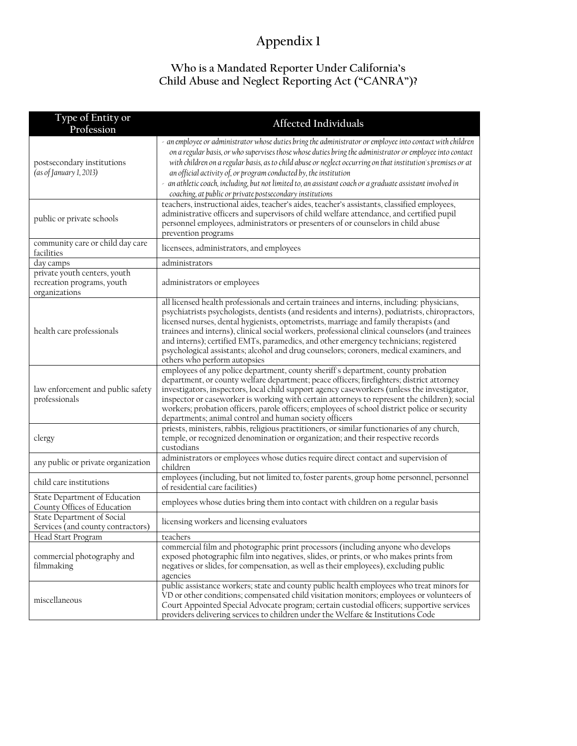# **Appendix 1**

# **Who is a Mandated Reporter Under California's Child Abuse and Neglect Reporting Act ("CANRA")?**

| Type of Entity or<br>Profession                                             | <b>Affected Individuals</b>                                                                                                                                                                                                                                                                                                                                                                                                                                                                                                                                                                                 |
|-----------------------------------------------------------------------------|-------------------------------------------------------------------------------------------------------------------------------------------------------------------------------------------------------------------------------------------------------------------------------------------------------------------------------------------------------------------------------------------------------------------------------------------------------------------------------------------------------------------------------------------------------------------------------------------------------------|
| postsecondary institutions<br>(as of January 1, 2013)                       | - an employee or administrator whose duties bring the administrator or employee into contact with children<br>on a regular basis, or who supervises those whose duties bring the administrator or employee into contact<br>with children on a regular basis, as to child abuse or neglect occurring on that institution's premises or at<br>an official activity of, or program conducted by, the institution<br>- an athletic coach, including, but not limited to, an assistant coach or a graduate assistant involved in<br>coaching, at public or private postsecondary institutions                    |
| public or private schools                                                   | teachers, instructional aides, teacher's aides, teacher's assistants, classified employees,<br>administrative officers and supervisors of child welfare attendance, and certified pupil<br>personnel employees, administrators or presenters of or counselors in child abuse<br>prevention programs                                                                                                                                                                                                                                                                                                         |
| community care or child day care<br>facilities                              | licensees, administrators, and employees                                                                                                                                                                                                                                                                                                                                                                                                                                                                                                                                                                    |
| day camps                                                                   | administrators                                                                                                                                                                                                                                                                                                                                                                                                                                                                                                                                                                                              |
| private youth centers, youth<br>recreation programs, youth<br>organizations | administrators or employees                                                                                                                                                                                                                                                                                                                                                                                                                                                                                                                                                                                 |
| health care professionals                                                   | all licensed health professionals and certain trainees and interns, including: physicians,<br>psychiatrists psychologists, dentists (and residents and interns), podiatrists, chiropractors,<br>licensed nurses, dental hygienists, optometrists, marriage and family therapists (and<br>trainees and interns), clinical social workers, professional clinical counselors (and trainees<br>and interns); certified EMTs, paramedics, and other emergency technicians; registered<br>psychological assistants; alcohol and drug counselors; coroners, medical examiners, and<br>others who perform autopsies |
| law enforcement and public safety<br>professionals                          | employees of any police department, county sheriff's department, county probation<br>department, or county welfare department; peace officers; firefighters; district attorney<br>investigators, inspectors, local child support agency caseworkers (unless the investigator,<br>inspector or caseworker is working with certain attorneys to represent the children); social<br>workers; probation officers, parole officers; employees of school district police or security<br>departments; animal control and human society officers                                                                    |
| clergy                                                                      | priests, ministers, rabbis, religious practitioners, or similar functionaries of any church,<br>temple, or recognized denomination or organization; and their respective records<br>custodians                                                                                                                                                                                                                                                                                                                                                                                                              |
| any public or private organization                                          | administrators or employees whose duties require direct contact and supervision of<br>children                                                                                                                                                                                                                                                                                                                                                                                                                                                                                                              |
| child care institutions                                                     | employees (including, but not limited to, foster parents, group home personnel, personnel<br>of residential care facilities)                                                                                                                                                                                                                                                                                                                                                                                                                                                                                |
| State Department of Education<br>County Offices of Education                | employees whose duties bring them into contact with children on a regular basis                                                                                                                                                                                                                                                                                                                                                                                                                                                                                                                             |
| State Department of Social<br>Services (and county contractors)             | licensing workers and licensing evaluators                                                                                                                                                                                                                                                                                                                                                                                                                                                                                                                                                                  |
| Head Start Program                                                          | teachers                                                                                                                                                                                                                                                                                                                                                                                                                                                                                                                                                                                                    |
| commercial photography and<br>filmmaking                                    | commercial film and photographic print processors (including anyone who develops<br>exposed photographic film into negatives, slides, or prints, or who makes prints from<br>negatives or slides, for compensation, as well as their employees), excluding public<br>agencies                                                                                                                                                                                                                                                                                                                               |
| miscellaneous                                                               | public assistance workers; state and county public health employees who treat minors for<br>VD or other conditions; compensated child visitation monitors; employees or volunteers of<br>Court Appointed Special Advocate program; certain custodial officers; supportive services<br>providers delivering services to children under the Welfare & Institutions Code                                                                                                                                                                                                                                       |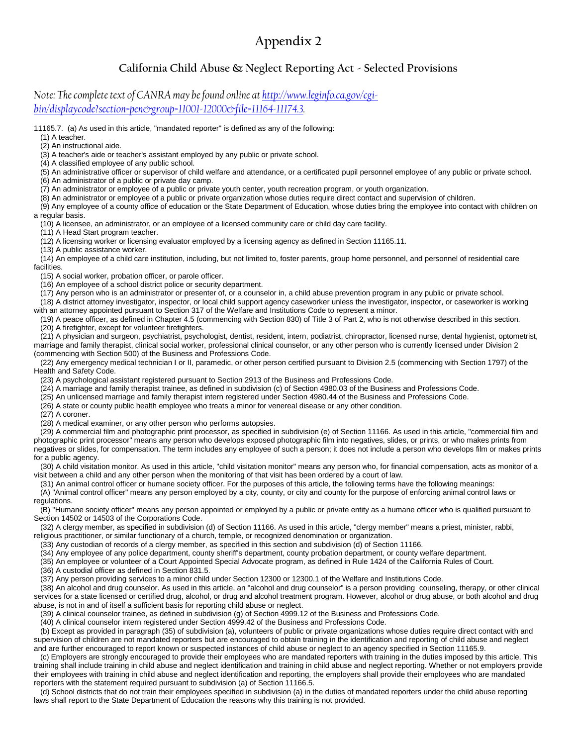# **Appendix 2**

## **California Child Abuse & Neglect Reporting Act - Selected Provisions**

*Note: The complete text of CANRA may be found online a[t http://www.leginfo.ca.gov/cgi](http://www.leginfo.ca.gov/cgi-bin/displaycode?section=pen&group=11001-12000&file=11164-11174.3)[bin/displaycode?section=pen&group=11001-12000&file=11164-11174.3.](http://www.leginfo.ca.gov/cgi-bin/displaycode?section=pen&group=11001-12000&file=11164-11174.3)* 

11165.7. (a) As used in this article, "mandated reporter" is defined as any of the following:

(1) A teacher.

(2) An instructional aide.

(3) A teacher's aide or teacher's assistant employed by any public or private school.

(4) A classified employee of any public school.

(5) An administrative officer or supervisor of child welfare and attendance, or a certificated pupil personnel employee of any public or private school.

(6) An administrator of a public or private day camp.

(7) An administrator or employee of a public or private youth center, youth recreation program, or youth organization.

(8) An administrator or employee of a public or private organization whose duties require direct contact and supervision of children.

 (9) Any employee of a county office of education or the State Department of Education, whose duties bring the employee into contact with children on a regular basis.

(10) A licensee, an administrator, or an employee of a licensed community care or child day care facility.

(11) A Head Start program teacher.

(12) A licensing worker or licensing evaluator employed by a licensing agency as defined in Section 11165.11.

(13) A public assistance worker.

 (14) An employee of a child care institution, including, but not limited to, foster parents, group home personnel, and personnel of residential care facilities.

(15) A social worker, probation officer, or parole officer.

(16) An employee of a school district police or security department.

(17) Any person who is an administrator or presenter of, or a counselor in, a child abuse prevention program in any public or private school.

 (18) A district attorney investigator, inspector, or local child support agency caseworker unless the investigator, inspector, or caseworker is working with an attorney appointed pursuant to Section 317 of the Welfare and Institutions Code to represent a minor.

 (19) A peace officer, as defined in Chapter 4.5 (commencing with Section 830) of Title 3 of Part 2, who is not otherwise described in this section. (20) A firefighter, except for volunteer firefighters.

 (21) A physician and surgeon, psychiatrist, psychologist, dentist, resident, intern, podiatrist, chiropractor, licensed nurse, dental hygienist, optometrist, marriage and family therapist, clinical social worker, professional clinical counselor, or any other person who is currently licensed under Division 2 (commencing with Section 500) of the Business and Professions Code.

 (22) Any emergency medical technician I or II, paramedic, or other person certified pursuant to Division 2.5 (commencing with Section 1797) of the Health and Safety Code.

(23) A psychological assistant registered pursuant to Section 2913 of the Business and Professions Code.

(24) A marriage and family therapist trainee, as defined in subdivision (c) of Section 4980.03 of the Business and Professions Code.

(25) An unlicensed marriage and family therapist intern registered under Section 4980.44 of the Business and Professions Code.

(26) A state or county public health employee who treats a minor for venereal disease or any other condition.

(27) A coroner.

(28) A medical examiner, or any other person who performs autopsies.

 (29) A commercial film and photographic print processor, as specified in subdivision (e) of Section 11166. As used in this article, "commercial film and photographic print processor" means any person who develops exposed photographic film into negatives, slides, or prints, or who makes prints from negatives or slides, for compensation. The term includes any employee of such a person; it does not include a person who develops film or makes prints for a public agency.

 (30) A child visitation monitor. As used in this article, "child visitation monitor" means any person who, for financial compensation, acts as monitor of a visit between a child and any other person when the monitoring of that visit has been ordered by a court of law.

(31) An animal control officer or humane society officer. For the purposes of this article, the following terms have the following meanings:

 (A) "Animal control officer" means any person employed by a city, county, or city and county for the purpose of enforcing animal control laws or regulations.

 (B) "Humane society officer" means any person appointed or employed by a public or private entity as a humane officer who is qualified pursuant to Section 14502 or 14503 of the Corporations Code.

(32) A clergy member, as specified in subdivision (d) of Section 11166. As used in this article, "clergy member" means a priest, minister, rabbi,

religious practitioner, or similar functionary of a church, temple, or recognized denomination or organization. (33) Any custodian of records of a clergy member, as specified in this section and subdivision (d) of Section 11166.

(34) Any employee of any police department, county sheriff's department, county probation department, or county welfare department.

(35) An employee or volunteer of a Court Appointed Special Advocate program, as defined in Rule 1424 of the California Rules of Court.

(36) A custodial officer as defined in Section 831.5.

(37) Any person providing services to a minor child under Section 12300 or 12300.1 of the Welfare and Institutions Code.

 (38) An alcohol and drug counselor. As used in this article, an "alcohol and drug counselor" is a person providing counseling, therapy, or other clinical services for a state licensed or certified drug, alcohol, or drug and alcohol treatment program. However, alcohol or drug abuse, or both alcohol and drug abuse, is not in and of itself a sufficient basis for reporting child abuse or neglect.

(39) A clinical counselor trainee, as defined in subdivision (g) of Section 4999.12 of the Business and Professions Code.

(40) A clinical counselor intern registered under Section 4999.42 of the Business and Professions Code.

 (b) Except as provided in paragraph (35) of subdivision (a), volunteers of public or private organizations whose duties require direct contact with and supervision of children are not mandated reporters but are encouraged to obtain training in the identification and reporting of child abuse and neglect and are further encouraged to report known or suspected instances of child abuse or neglect to an agency specified in Section 11165.9.

 (c) Employers are strongly encouraged to provide their employees who are mandated reporters with training in the duties imposed by this article. This training shall include training in child abuse and neglect identification and training in child abuse and neglect reporting. Whether or not employers provide their employees with training in child abuse and neglect identification and reporting, the employers shall provide their employees who are mandated reporters with the statement required pursuant to subdivision (a) of Section 11166.5.

 (d) School districts that do not train their employees specified in subdivision (a) in the duties of mandated reporters under the child abuse reporting laws shall report to the State Department of Education the reasons why this training is not provided.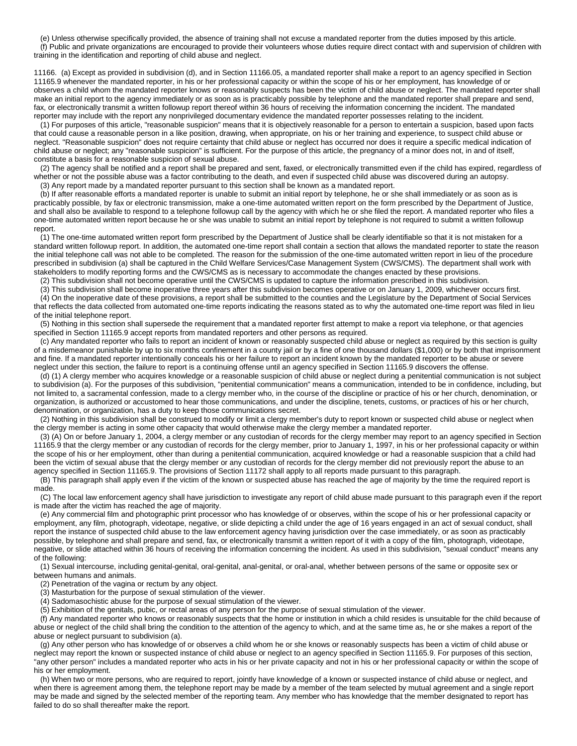(e) Unless otherwise specifically provided, the absence of training shall not excuse a mandated reporter from the duties imposed by this article. (f) Public and private organizations are encouraged to provide their volunteers whose duties require direct contact with and supervision of children with training in the identification and reporting of child abuse and neglect.

11166. (a) Except as provided in subdivision (d), and in Section 11166.05, a mandated reporter shall make a report to an agency specified in Section 11165.9 whenever the mandated reporter, in his or her professional capacity or within the scope of his or her employment, has knowledge of or observes a child whom the mandated reporter knows or reasonably suspects has been the victim of child abuse or neglect. The mandated reporter shall make an initial report to the agency immediately or as soon as is practicably possible by telephone and the mandated reporter shall prepare and send, fax, or electronically transmit a written followup report thereof within 36 hours of receiving the information concerning the incident. The mandated reporter may include with the report any nonprivileged documentary evidence the mandated reporter possesses relating to the incident.

 (1) For purposes of this article, "reasonable suspicion" means that it is objectively reasonable for a person to entertain a suspicion, based upon facts that could cause a reasonable person in a like position, drawing, when appropriate, on his or her training and experience, to suspect child abuse or neglect. "Reasonable suspicion" does not require certainty that child abuse or neglect has occurred nor does it require a specific medical indication of child abuse or neglect; any "reasonable suspicion" is sufficient. For the purpose of this article, the pregnancy of a minor does not, in and of itself, constitute a basis for a reasonable suspicion of sexual abuse.

 (2) The agency shall be notified and a report shall be prepared and sent, faxed, or electronically transmitted even if the child has expired, regardless of whether or not the possible abuse was a factor contributing to the death, and even if suspected child abuse was discovered during an autopsy. (3) Any report made by a mandated reporter pursuant to this section shall be known as a mandated report.

 (b) If after reasonable efforts a mandated reporter is unable to submit an initial report by telephone, he or she shall immediately or as soon as is practicably possible, by fax or electronic transmission, make a one-time automated written report on the form prescribed by the Department of Justice, and shall also be available to respond to a telephone followup call by the agency with which he or she filed the report. A mandated reporter who files a one-time automated written report because he or she was unable to submit an initial report by telephone is not required to submit a written followup report.

 (1) The one-time automated written report form prescribed by the Department of Justice shall be clearly identifiable so that it is not mistaken for a standard written followup report. In addition, the automated one-time report shall contain a section that allows the mandated reporter to state the reason the initial telephone call was not able to be completed. The reason for the submission of the one-time automated written report in lieu of the procedure prescribed in subdivision (a) shall be captured in the Child Welfare Services/Case Management System (CWS/CMS). The department shall work with stakeholders to modify reporting forms and the CWS/CMS as is necessary to accommodate the changes enacted by these provisions.

(2) This subdivision shall not become operative until the CWS/CMS is updated to capture the information prescribed in this subdivision.

 (3) This subdivision shall become inoperative three years after this subdivision becomes operative or on January 1, 2009, whichever occurs first. (4) On the inoperative date of these provisions, a report shall be submitted to the counties and the Legislature by the Department of Social Services that reflects the data collected from automated one-time reports indicating the reasons stated as to why the automated one-time report was filed in lieu of the initial telephone report.

 (5) Nothing in this section shall supersede the requirement that a mandated reporter first attempt to make a report via telephone, or that agencies specified in Section 11165.9 accept reports from mandated reporters and other persons as required.

 (c) Any mandated reporter who fails to report an incident of known or reasonably suspected child abuse or neglect as required by this section is guilty of a misdemeanor punishable by up to six months confinement in a county jail or by a fine of one thousand dollars (\$1,000) or by both that imprisonment and fine. If a mandated reporter intentionally conceals his or her failure to report an incident known by the mandated reporter to be abuse or severe neglect under this section, the failure to report is a continuing offense until an agency specified in Section 11165.9 discovers the offense.

 (d) (1) A clergy member who acquires knowledge or a reasonable suspicion of child abuse or neglect during a penitential communication is not subject to subdivision (a). For the purposes of this subdivision, "penitential communication" means a communication, intended to be in confidence, including, but not limited to, a sacramental confession, made to a clergy member who, in the course of the discipline or practice of his or her church, denomination, or organization, is authorized or accustomed to hear those communications, and under the discipline, tenets, customs, or practices of his or her church, denomination, or organization, has a duty to keep those communications secret.

 (2) Nothing in this subdivision shall be construed to modify or limit a clergy member's duty to report known or suspected child abuse or neglect when the clergy member is acting in some other capacity that would otherwise make the clergy member a mandated reporter.

 (3) (A) On or before January 1, 2004, a clergy member or any custodian of records for the clergy member may report to an agency specified in Section 11165.9 that the clergy member or any custodian of records for the clergy member, prior to January 1, 1997, in his or her professional capacity or within the scope of his or her employment, other than during a penitential communication, acquired knowledge or had a reasonable suspicion that a child had been the victim of sexual abuse that the clergy member or any custodian of records for the clergy member did not previously report the abuse to an agency specified in Section 11165.9. The provisions of Section 11172 shall apply to all reports made pursuant to this paragraph.

 (B) This paragraph shall apply even if the victim of the known or suspected abuse has reached the age of majority by the time the required report is made.

 (C) The local law enforcement agency shall have jurisdiction to investigate any report of child abuse made pursuant to this paragraph even if the report is made after the victim has reached the age of majority.

 (e) Any commercial film and photographic print processor who has knowledge of or observes, within the scope of his or her professional capacity or employment, any film, photograph, videotape, negative, or slide depicting a child under the age of 16 years engaged in an act of sexual conduct, shall report the instance of suspected child abuse to the law enforcement agency having jurisdiction over the case immediately, or as soon as practicably possible, by telephone and shall prepare and send, fax, or electronically transmit a written report of it with a copy of the film, photograph, videotape, negative, or slide attached within 36 hours of receiving the information concerning the incident. As used in this subdivision, "sexual conduct" means any of the following:

 (1) Sexual intercourse, including genital-genital, oral-genital, anal-genital, or oral-anal, whether between persons of the same or opposite sex or between humans and animals.

(2) Penetration of the vagina or rectum by any object.

(3) Masturbation for the purpose of sexual stimulation of the viewer.

(4) Sadomasochistic abuse for the purpose of sexual stimulation of the viewer.

(5) Exhibition of the genitals, pubic, or rectal areas of any person for the purpose of sexual stimulation of the viewer.

 (f) Any mandated reporter who knows or reasonably suspects that the home or institution in which a child resides is unsuitable for the child because of abuse or neglect of the child shall bring the condition to the attention of the agency to which, and at the same time as, he or she makes a report of the abuse or neglect pursuant to subdivision (a).

 (g) Any other person who has knowledge of or observes a child whom he or she knows or reasonably suspects has been a victim of child abuse or neglect may report the known or suspected instance of child abuse or neglect to an agency specified in Section 11165.9. For purposes of this section, "any other person" includes a mandated reporter who acts in his or her private capacity and not in his or her professional capacity or within the scope of his or her employment.

 (h) When two or more persons, who are required to report, jointly have knowledge of a known or suspected instance of child abuse or neglect, and when there is agreement among them, the telephone report may be made by a member of the team selected by mutual agreement and a single report may be made and signed by the selected member of the reporting team. Any member who has knowledge that the member designated to report has failed to do so shall thereafter make the report.